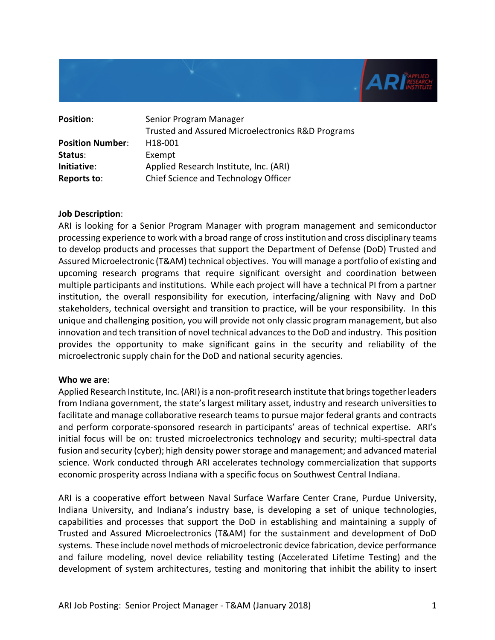

| <b>Position:</b>        | Senior Program Manager                            |
|-------------------------|---------------------------------------------------|
|                         | Trusted and Assured Microelectronics R&D Programs |
| <b>Position Number:</b> | H <sub>18</sub> -001                              |
| Status:                 | Exempt                                            |
| Initiative:             | Applied Research Institute, Inc. (ARI)            |
| Reports to:             | Chief Science and Technology Officer              |

#### **Job Description**:

ARI is looking for a Senior Program Manager with program management and semiconductor processing experience to work with a broad range of cross institution and cross disciplinary teams to develop products and processes that support the Department of Defense (DoD) Trusted and Assured Microelectronic (T&AM) technical objectives. You will manage a portfolio of existing and upcoming research programs that require significant oversight and coordination between multiple participants and institutions. While each project will have a technical PI from a partner institution, the overall responsibility for execution, interfacing/aligning with Navy and DoD stakeholders, technical oversight and transition to practice, will be your responsibility. In this unique and challenging position, you will provide not only classic program management, but also innovation and tech transition of novel technical advances to the DoD and industry. This position provides the opportunity to make significant gains in the security and reliability of the microelectronic supply chain for the DoD and national security agencies.

#### **Who we are**:

Applied Research Institute, Inc. (ARI) is a non-profit research institute that brings together leaders from Indiana government, the state's largest military asset, industry and research universities to facilitate and manage collaborative research teams to pursue major federal grants and contracts and perform corporate-sponsored research in participants' areas of technical expertise. ARI's initial focus will be on: trusted microelectronics technology and security; multi-spectral data fusion and security (cyber); high density power storage and management; and advanced material science. Work conducted through ARI accelerates technology commercialization that supports economic prosperity across Indiana with a specific focus on Southwest Central Indiana.

ARI is a cooperative effort between Naval Surface Warfare Center Crane, Purdue University, Indiana University, and Indiana's industry base, is developing a set of unique technologies, capabilities and processes that support the DoD in establishing and maintaining a supply of Trusted and Assured Microelectronics (T&AM) for the sustainment and development of DoD systems. These include novel methods of microelectronic device fabrication, device performance and failure modeling, novel device reliability testing (Accelerated Lifetime Testing) and the development of system architectures, testing and monitoring that inhibit the ability to insert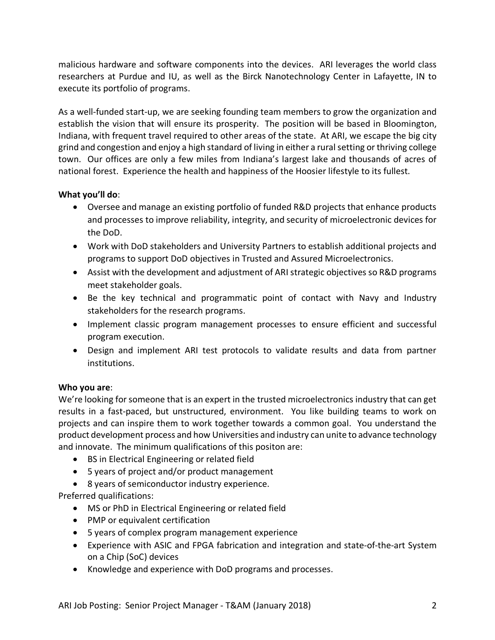malicious hardware and software components into the devices. ARI leverages the world class researchers at Purdue and IU, as well as the Birck Nanotechnology Center in Lafayette, IN to execute its portfolio of programs.

As a well-funded start-up, we are seeking founding team members to grow the organization and establish the vision that will ensure its prosperity. The position will be based in Bloomington, Indiana, with frequent travel required to other areas of the state. At ARI, we escape the big city grind and congestion and enjoy a high standard of living in either a rural setting or thriving college town. Our offices are only a few miles from Indiana's largest lake and thousands of acres of national forest. Experience the health and happiness of the Hoosier lifestyle to its fullest.

# **What you'll do**:

- Oversee and manage an existing portfolio of funded R&D projects that enhance products and processes to improve reliability, integrity, and security of microelectronic devices for the DoD.
- Work with DoD stakeholders and University Partners to establish additional projects and programs to support DoD objectives in Trusted and Assured Microelectronics.
- Assist with the development and adjustment of ARI strategic objectives so R&D programs meet stakeholder goals.
- Be the key technical and programmatic point of contact with Navy and Industry stakeholders for the research programs.
- Implement classic program management processes to ensure efficient and successful program execution.
- Design and implement ARI test protocols to validate results and data from partner institutions.

## **Who you are**:

We're looking for someone that is an expert in the trusted microelectronics industry that can get results in a fast-paced, but unstructured, environment. You like building teams to work on projects and can inspire them to work together towards a common goal. You understand the product development process and how Universities and industry can unite to advance technology and innovate. The minimum qualifications of this positon are:

- BS in Electrical Engineering or related field
- 5 years of project and/or product management
- 8 years of semiconductor industry experience.

Preferred qualifications:

- MS or PhD in Electrical Engineering or related field
- PMP or equivalent certification
- 5 years of complex program management experience
- Experience with ASIC and FPGA fabrication and integration and state-of-the-art System on a Chip (SoC) devices
- Knowledge and experience with DoD programs and processes.